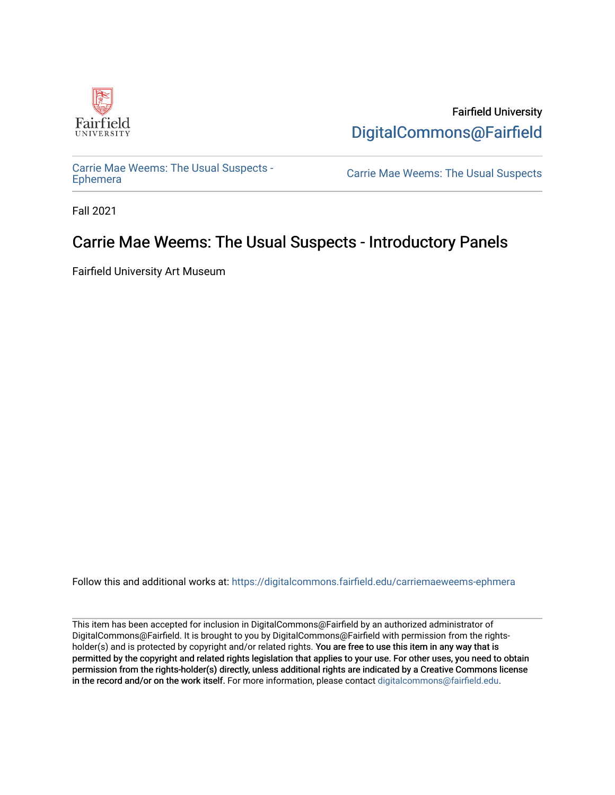

Fairfield University [DigitalCommons@Fairfield](https://digitalcommons.fairfield.edu/) 

[Carrie Mae Weems: The Usual Suspects -](https://digitalcommons.fairfield.edu/carriemaeweems-ephmera)

Carrie Mae Weems: The Usual Suspects

Fall 2021

#### Carrie Mae Weems: The Usual Suspects - Introductory Panels

Fairfield University Art Museum

Follow this and additional works at: [https://digitalcommons.fairfield.edu/carriemaeweems-ephmera](https://digitalcommons.fairfield.edu/carriemaeweems-ephmera?utm_source=digitalcommons.fairfield.edu%2Fcarriemaeweems-ephmera%2F6&utm_medium=PDF&utm_campaign=PDFCoverPages)

This item has been accepted for inclusion in DigitalCommons@Fairfield by an authorized administrator of DigitalCommons@Fairfield. It is brought to you by DigitalCommons@Fairfield with permission from the rightsholder(s) and is protected by copyright and/or related rights. You are free to use this item in any way that is permitted by the copyright and related rights legislation that applies to your use. For other uses, you need to obtain permission from the rights-holder(s) directly, unless additional rights are indicated by a Creative Commons license in the record and/or on the work itself. For more information, please contact [digitalcommons@fairfield.edu.](mailto:digitalcommons@fairfield.edu)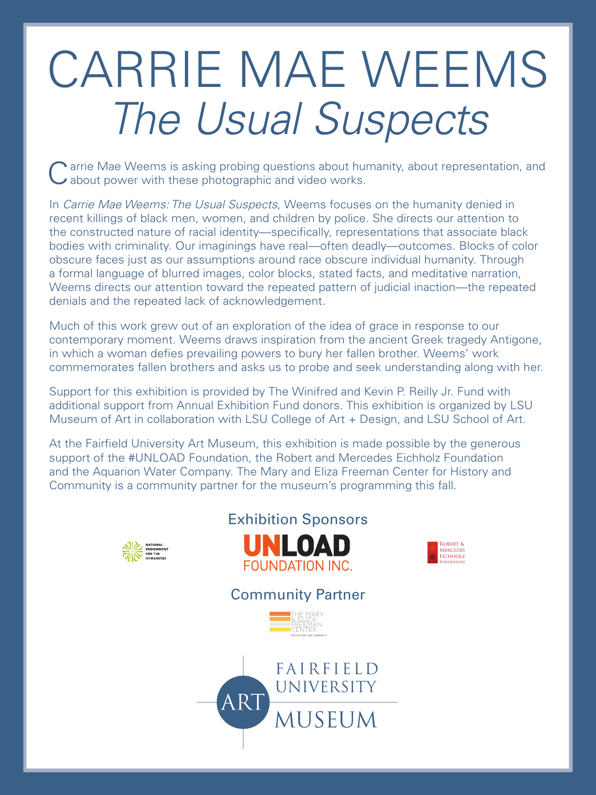Carrie Mae Weems is asking probing questions about humanity, about representation, and about power with these photographic and video works. about power with these photographic and video works.

In *Carrie Mae Weems: The Usual Suspects*, Weems focuses on the humanity denied in recent killings of black men, women, and children by police. She directs our attention to the constructed nature of racial identity—specifically, representations that associate black bodies with criminality. Our imaginings have real—often deadly—outcomes. Blocks of color obscure faces just as our assumptions around race obscure individual humanity. Through a formal language of blurred images, color blocks, stated facts, and meditative narration, Weems directs our attention toward the repeated pattern of judicial inaction—the repeated denials and the repeated lack of acknowledgement.

Much of this work grew out of an exploration of the idea of grace in response to our contemporary moment. Weems draws inspiration from the ancient Greek tragedy Antigone, in which a woman defies prevailing powers to bury her fallen brother. Weems' work commemorates fallen brothers and asks us to probe and seek understanding along with her.

Support for this exhibition is provided by The Winifred and Kevin P. Reilly Jr. Fund with additional support from Annual Exhibition Fund donors. This exhibition is organized by LSU

Museum of Art in collaboration with LSU College of Art + Design, and LSU School of Art.

At the Fairfield University Art Museum, this exhibition is made possible by the generous support of the #UNLOAD Foundation, the Robert and Mercedes Eichholz Foundation and the Aquarion Water Company. The Mary and Eliza Freeman Center for History and Community is a community partner for the museum's programming this fall.















## CARRIE MAE WEEMS *The Usual Suspects*